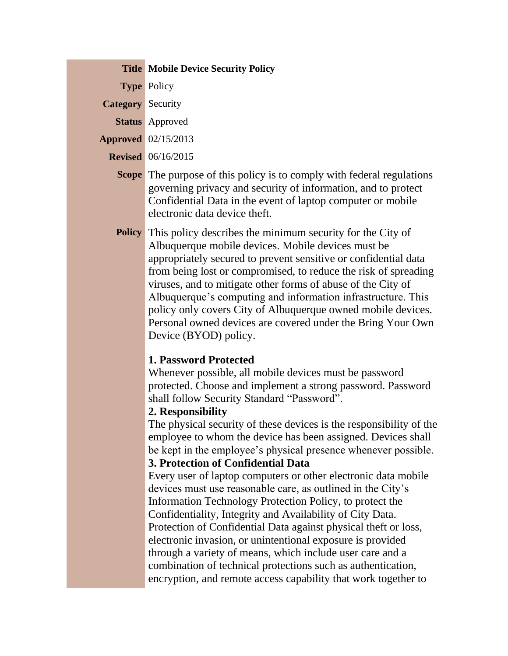### **Title Mobile Device Security Policy**

**Type** Policy

**Category** Security

**Status** Approved

**Approved** 02/15/2013

**Revised** 06/16/2015

**Scope** The purpose of this policy is to comply with federal regulations governing privacy and security of information, and to protect Confidential Data in the event of laptop computer or mobile electronic data device theft.

**Policy** This policy describes the minimum security for the City of Albuquerque mobile devices. Mobile devices must be appropriately secured to prevent sensitive or confidential data from being lost or compromised, to reduce the risk of spreading viruses, and to mitigate other forms of abuse of the City of Albuquerque's computing and information infrastructure. This policy only covers City of Albuquerque owned mobile devices. Personal owned devices are covered under the Bring Your Own Device (BYOD) policy.

# **1. Password Protected**

Whenever possible, all mobile devices must be password protected. Choose and implement a strong password. Password shall follow Security Standard "Password".

# **2. Responsibility**

The physical security of these devices is the responsibility of the employee to whom the device has been assigned. Devices shall be kept in the employee's physical presence whenever possible.

# **3. Protection of Confidential Data**

Every user of laptop computers or other electronic data mobile devices must use reasonable care, as outlined in the City's Information Technology Protection Policy, to protect the Confidentiality, Integrity and Availability of City Data. Protection of Confidential Data against physical theft or loss, electronic invasion, or unintentional exposure is provided through a variety of means, which include user care and a combination of technical protections such as authentication, encryption, and remote access capability that work together to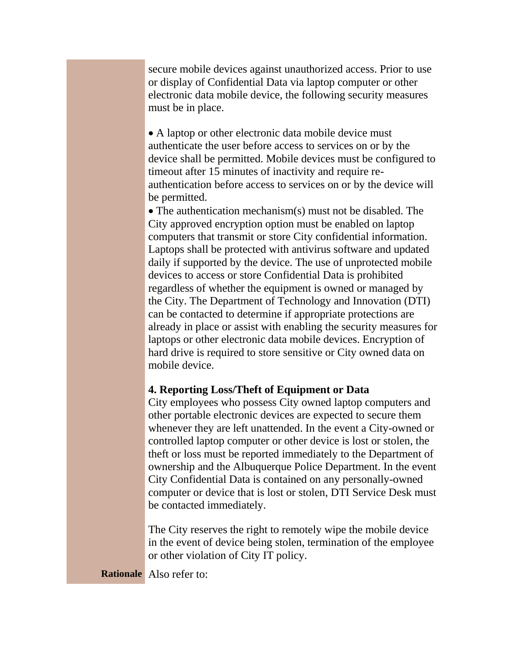secure mobile devices against unauthorized access. Prior to use or display of Confidential Data via laptop computer or other electronic data mobile device, the following security measures must be in place.

• A laptop or other electronic data mobile device must authenticate the user before access to services on or by the device shall be permitted. Mobile devices must be configured to timeout after 15 minutes of inactivity and require reauthentication before access to services on or by the device will be permitted.

• The authentication mechanism(s) must not be disabled. The City approved encryption option must be enabled on laptop computers that transmit or store City confidential information. Laptops shall be protected with antivirus software and updated daily if supported by the device. The use of unprotected mobile devices to access or store Confidential Data is prohibited regardless of whether the equipment is owned or managed by the City. The Department of Technology and Innovation (DTI) can be contacted to determine if appropriate protections are already in place or assist with enabling the security measures for laptops or other electronic data mobile devices. Encryption of hard drive is required to store sensitive or City owned data on mobile device.

### **4. Reporting Loss/Theft of Equipment or Data**

City employees who possess City owned laptop computers and other portable electronic devices are expected to secure them whenever they are left unattended. In the event a City-owned or controlled laptop computer or other device is lost or stolen, the theft or loss must be reported immediately to the Department of ownership and the Albuquerque Police Department. In the event City Confidential Data is contained on any personally-owned computer or device that is lost or stolen, DTI Service Desk must be contacted immediately.

The City reserves the right to remotely wipe the mobile device in the event of device being stolen, termination of the employee or other violation of City IT policy.

**Rationale** Also refer to: